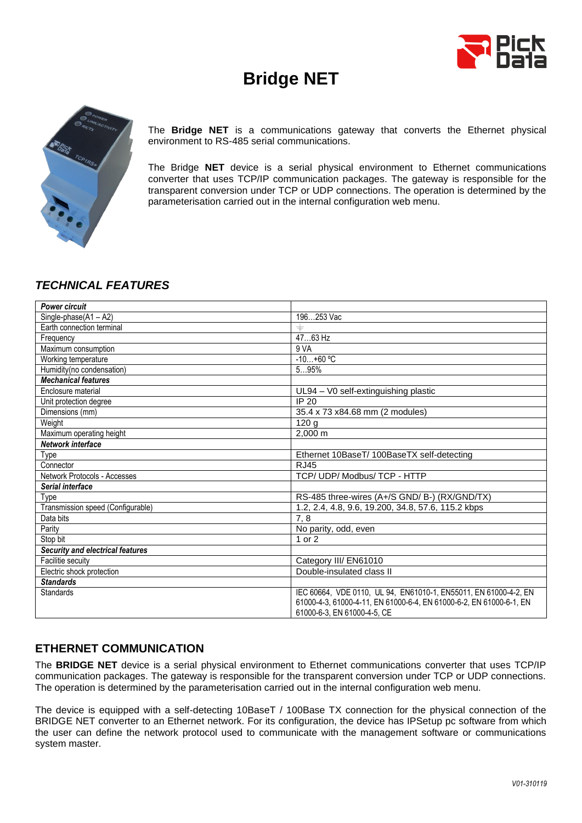

# **Bridge NET**



The **Bridge NET** is a communications gateway that converts the Ethernet physical environment to RS-485 serial communications.

The Bridge **NET** device is a serial physical environment to Ethernet communications converter that uses TCP/IP communication packages. The gateway is responsible for the transparent conversion under TCP or UDP connections. The operation is determined by the parameterisation carried out in the internal configuration web menu.

# *TECHNICAL FEATURES*

| <b>Power circuit</b>                    |                                                                     |
|-----------------------------------------|---------------------------------------------------------------------|
| Single-phase(A1-A2)                     | 196253 Vac                                                          |
| Earth connection terminal               |                                                                     |
| Frequency                               | 4763 Hz                                                             |
| Maximum consumption                     | 9 VA                                                                |
| Working temperature                     | $-10+60$ °C                                                         |
| Humidity(no condensation)               | 595%                                                                |
| <b>Mechanical features</b>              |                                                                     |
| Enclosure material                      | UL94 - V0 self-extinguishing plastic                                |
| Unit protection degree                  | IP 20                                                               |
| Dimensions (mm)                         | 35.4 x 73 x84.68 mm (2 modules)                                     |
| Weight                                  | 120 <sub>g</sub>                                                    |
| Maximum operating height                | 2,000 m                                                             |
| Network interface                       |                                                                     |
| Type                                    | Ethernet 10BaseT/ 100BaseTX self-detecting                          |
| Connector                               | <b>RJ45</b>                                                         |
| Network Protocols - Accesses            | TCP/ UDP/ Modbus/ TCP - HTTP                                        |
| Serial interface                        |                                                                     |
| Type                                    | RS-485 three-wires (A+/S GND/ B-) (RX/GND/TX)                       |
| Transmission speed (Configurable)       | 1.2, 2.4, 4.8, 9.6, 19.200, 34.8, 57.6, 115.2 kbps                  |
| Data bits                               | 7,8                                                                 |
| Parity                                  | No parity, odd, even                                                |
| Stop bit                                | 1 or 2                                                              |
| <b>Security and electrical features</b> |                                                                     |
| Facilitie secuity                       | Category III/ EN61010                                               |
| Electric shock protection               | Double-insulated class II                                           |
| <b>Standards</b>                        |                                                                     |
| <b>Standards</b>                        | IEC 60664, VDE 0110, UL 94, EN61010-1, EN55011, EN 61000-4-2, EN    |
|                                         | 61000-4-3, 61000-4-11, EN 61000-6-4, EN 61000-6-2, EN 61000-6-1, EN |
|                                         | 61000-6-3, EN 61000-4-5, CE                                         |

# **ETHERNET COMMUNICATION**

The **BRIDGE NET** device is a serial physical environment to Ethernet communications converter that uses TCP/IP communication packages. The gateway is responsible for the transparent conversion under TCP or UDP connections. The operation is determined by the parameterisation carried out in the internal configuration web menu.

The device is equipped with a self-detecting 10BaseT / 100Base TX connection for the physical connection of the BRIDGE NET converter to an Ethernet network. For its configuration, the device has IPSetup pc software from which the user can define the network protocol used to communicate with the management software or communications system master.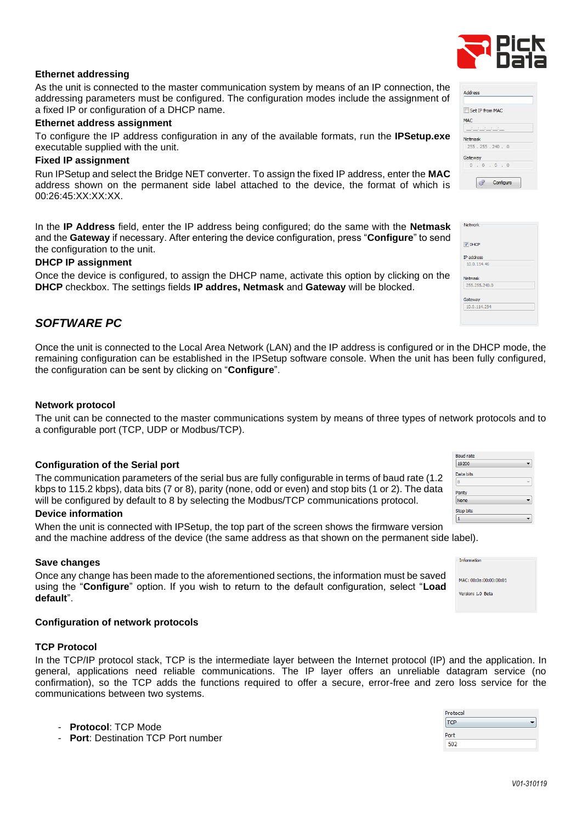### **Ethernet addressing**

As the unit is connected to the master communication system by means of an IP connection, the addressing parameters must be configured. The configuration modes include the assignment of a fixed IP or configuration of a DHCP name.

### **Ethernet address assignment**

To configure the IP address configuration in any of the available formats, run the **IPSetup.exe** executable supplied with the unit.

## **Fixed IP assignment**

Run IPSetup and select the Bridge NET converter. To assign the fixed IP address, enter the **MAC** address shown on the permanent side label attached to the device, the format of which is 00:26:45:XX:XX:XX.

In the **IP Address** field, enter the IP address being configured; do the same with the **Netmask** and the **Gateway** if necessary. After entering the device configuration, press "**Configure**" to send the configuration to the unit.

## **DHCP IP assignment**

Once the device is configured, to assign the DHCP name, activate this option by clicking on the **DHCP** checkbox. The settings fields **IP addres, Netmask** and **Gateway** will be blocked.

# *SOFTWARE PC*

Once the unit is connected to the Local Area Network (LAN) and the IP address is configured or in the DHCP mode, the remaining configuration can be established in the IPSetup software console. When the unit has been fully configured, the configuration can be sent by clicking on "**Configure**".

## **Network protocol**

The unit can be connected to the master communications system by means of three types of network protocols and to a configurable port (TCP, UDP or Modbus/TCP).

#### **Configuration of the Serial port**

#### will be configured by default to 8 by selecting the Modbus/TCP communications protocol. **Device information**

When the unit is connected with IPSetup, the top part of the screen shows the firmware version and the machine address of the device (the same address as that shown on the permanent side label).

## **Save changes**

Once any change has been made to the aforementioned sections, the information must be saved using the "**Configure**" option. If you wish to return to the default configuration, select "**Load default**".

The communication parameters of the serial bus are fully configurable in terms of baud rate (1.2 kbps to 115.2 kbps), data bits (7 or 8), parity (none, odd or even) and stop bits (1 or 2). The data

## **Configuration of network protocols**

## **TCP Protocol**

In the [TCP/IP](http://es.wikipedia.org/wiki/TCP/IP) protocol stack, TCP is the intermediate layer between the [Internet protocol](http://es.wikipedia.org/wiki/Protocolo_de_internet) (IP) and the [application.](http://es.wikipedia.org/wiki/Aplicaci%C3%B3n_%28inform%C3%A1tica%29) In general, applications need reliable communications. The IP layer offers an unreliable datagram service (no confirmation), so the TCP adds the functions required to offer a secure, error-free and zero loss service for the communications between two systems.

- **Protocol**: TCP Mode
- **Port: Destination TCP Port number**

## Address Set IP from MAC MAC Netmack  $255.255.240.0$ Gateway  $\overline{0}$ Configure  $\mathcal{L}$

| Network                         |  |
|---------------------------------|--|
| <b>V DHCP</b>                   |  |
| <b>IP</b> address               |  |
| 10.0.114.46                     |  |
| <b>Netmask</b><br>255.255.240.0 |  |
|                                 |  |
|                                 |  |
| Gateway                         |  |



| Information            |  |
|------------------------|--|
| MAC: 00:0a:00:00:00:01 |  |
| Version: 1.0 Beta      |  |
|                        |  |



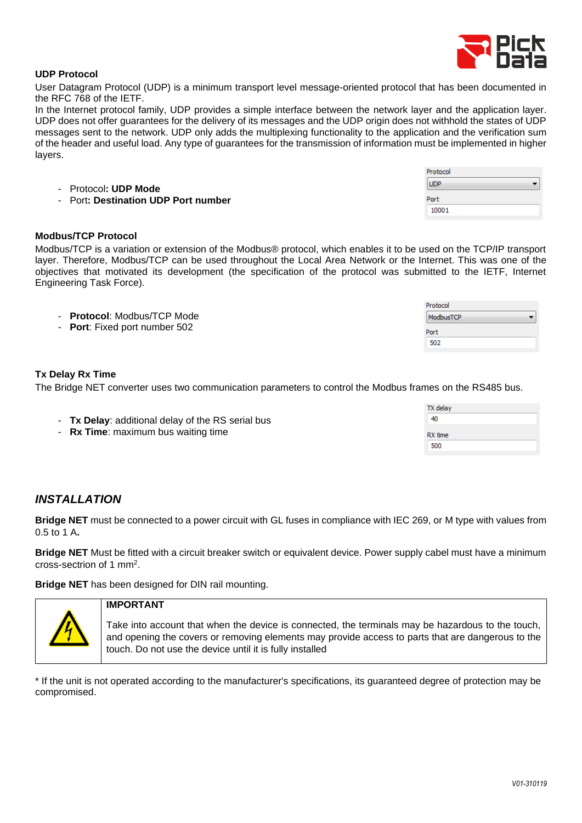

## **UDP Protocol**

User Datagram Protocol (UDP) is a minimum [transport level](http://es.wikipedia.org/wiki/Nivel_de_transporte) message-oriented protocol that has been documented in the [RFC](http://es.wikipedia.org/wiki/Request_for_comments) [768](http://www.ietf.org/rfc/rfc768.txt) of the [IETF.](http://es.wikipedia.org/wiki/IETF)

In the [Internet protocol family,](http://es.wikipedia.org/wiki/Familia_de_protocolos_de_Internet) UDP provides a simple interface between the [network layer](http://es.wikipedia.org/wiki/Capa_de_red) and the [application layer.](http://es.wikipedia.org/wiki/Capa_de_aplicaci%C3%B3n) UDP does not offer guarantees for the delivery of its messages and the UDP origin does not withhold the states of UDP messages sent to the network. UDP only adds the [multiplexing](http://es.wikipedia.org/wiki/Multiplexado) functionality to the [application](http://es.wikipedia.org/wiki/Aplicaci%C3%B3n) and the [verification sum](http://es.wikipedia.org/wiki/Suma_de_verificaci%C3%B3n) of the header and useful load. Any type of guarantees for the transmission of information must be implemented in higher layers.

Pr  $\boxed{U}$ - Protocol**: UDP Mode** Po - Port**: Destination UDP Port number**

## **Modbus/TCP Protocol**

Modbus/TCP is a variation or extension of the Modbus® protocol, which enables it to be used on the TCP/IP transport layer. Therefore, Modbus/TCP can be used throughout the Local Area Network or the Internet. This was one of the objectives that motivated its development (the specification of the protocol was submitted to the IETF, Internet Engineering Task Force).

|                               | Protocol  |
|-------------------------------|-----------|
| - Protocol: Modbus/TCP Mode   | ModbusTCP |
| - Port: Fixed port number 502 | Port      |
|                               | 502       |

## **Tx Delay Rx Time**

The Bridge NET converter uses two communication parameters to control the Modbus frames on the RS485 bus.

| 40<br>- Tx Delay: additional delay of the RS serial bus |  |
|---------------------------------------------------------|--|
|                                                         |  |
| - Rx Time: maximum bus waiting time<br>RX time          |  |
| 500                                                     |  |

# *INSTALLATION*

**Bridge NET** must be connected to a power circuit with GL fuses in compliance with IEC 269, or M type with values from 0.5 to 1 A**.** 

**Bridge NET** Must be fitted with a circuit breaker switch or equivalent device. Power supply cabel must have a minimum cross-sectrion of 1 mm<sup>2</sup> .

**Bridge NET** has been designed for DIN rail mounting.



# **IMPORTANT**

Take into account that when the device is connected, the terminals may be hazardous to the touch, and opening the covers or removing elements may provide access to parts that are dangerous to the touch. Do not use the device until it is fully installed

\* If the unit is not operated according to the manufacturer's specifications, its guaranteed degree of protection may be compromised.

| otocol |  |
|--------|--|
| DP     |  |
| rt     |  |
| 0001   |  |

 $\mathbf{1}$ 

TV dolare